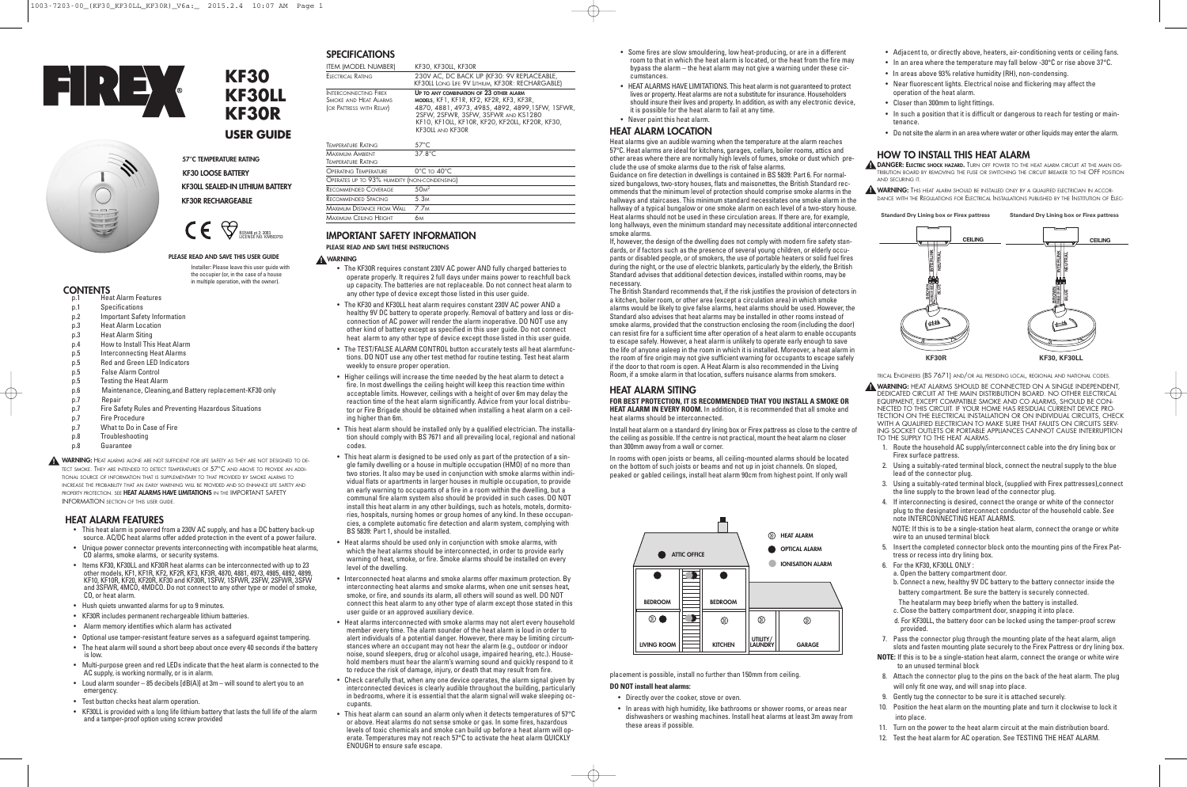**WARNING:** This heat alarm should be installed only by a qualified electrician in accor-DANCE WITH THE REGULATIONS FOR ELECTRICAL INSTALLATIONS PUBLISHED BY THE INSTITUTION OF ELEC-

### **HOW TO INSTALL THIS HEAT ALARM**

**DANGER: ELECTRIC SHOCK HAZARD.** TURN OFF POWER TO THE HEAT ALARM CIRCUIT AT THE MAIN DIS-**!** TRIBUTION BOARD BY REMOVING THE FUSE OR SWITCHING THE CIRCUIT BREAKER TO THE OFF POSITION AND SECURING IT.

TRICAL ENGINEERS (BS 7671) AND/OR ALL PRESIDING LOCAL, REGIONAL AND NATIONAL CODES.

**WARNING:** HEAT ALARMS SHOULD BE CONNECTED ON A SINGLE INDEPENDENT, **!** DEDICATED CIRCUIT AT THE MAIN DISTRIBUTION BOARD. NO OTHER ELECTRICAL EQUIPMENT, EXCEPT COMPATIBLE SMOKE AND CO ALARMS, SHOULD BE CON-NECTED TO THIS CIRCUIT. IF YOUR HOME HAS RESIDUAL CURRENT DEVICE PRO-TECTION ON THE ELECTRICAL INSTALLATION OR ON INDIVIDUAL CIRCUITS, CHECK WITH A QUALIFIED FLECTRICIAN TO MAKE SURE THAT FAULTS ON CIRCUITS SERV-ING SOCKET OUTLETS OR PORTABLE APPLIANCES CANNOT CAUSE INTERRUPTION TO THE SUPPLY TO THE HEAT ALARMS.

- 1. Route the household AC supply/interconnect cable into the dry lining box or Firex surface pattress.
- 2. Using a suitably-rated terminal block, connect the neutral supply to the blue lead of the connector plug.
- 3. Using a suitably-rated terminal block, (supplied with Firex pattresses),connect the line supply to the brown lead of the connector plug.
- 4. If interconnecting is desired, connect the orange or white of the connector plug to the designated interconnect conductor of the household cable. See note INTERCONNECTING HEAT ALARMS.

NOTE: If this is to be a single-station heat alarm, connect the orange or white wire to an unused terminal block

- 5. Insert the completed connector block onto the mounting pins of the Firex Pattress or recess into dry lining box.
- 6. For the KF30, KF30LL ONLY :
- a. Open the battery compartment door.
- b. Connect a new, healthy 9V DC battery to the battery connector inside the battery compartment. Be sure the battery is securely connected.
- The heatalarm may beep briefly when the battery is installed. c. Close the battery compartment door, snapping it into place.
- d. For KF30LL, the battery door can be locked using the tamper-proof screw provided.
- 7. Pass the connector plug through the mounting plate of the heat alarm, align slots and fasten mounting plate securely to the Firex Pattress or dry lining box.

**NOTE:** If this is to be a single-station heat alarm, connect the orange or white wire to an unused terminal block

- 8. Attach the connector plug to the pins on the back of the heat alarm. The plug will only fit one way, and will snap into place.
- 9. Gently tug the connector to be sure it is attached securely.
- 10. Position the heat alarm on the mounting plate and turn it clockwise to lock it into place.
- 11. Turn on the power to the heat alarm circuit at the main distribution board.
- 12. Test the heat alarm for AC operation. See TESTING THE HEAT ALARM.
- Some fires are slow smouldering, low heat-producing, or are in a different room to that in which the heat alarm is located, or the heat from the fire may bypass the alarm – the heat alarm may not give a warning under these circumstances.
- HEAT ALARMS HAVE LIMITATIONS. This heat alarm is not quaranteed to protect lives or property. Heat alarms are not a substitute for insurance. Householders should insure their lives and property. In addition, as with any electronic device, it is possible for the heat alarm to fail at any time.
- Never paint this heat alarm.

### **HEAT ALARM LOCATION**

Heat alarms give an audible warning when the temperature at the alarm reaches 57°C. Heat alarms are ideal for kitchens, garages, cellars, boiler rooms, attics and other areas where there are normally high levels of fumes, smoke or dust which preclude the use of smoke alarms due to the risk of false alarms.

Guidance on fire detection in dwellings is contained in BS 5839: Part 6. For normalsized bungalows, two-story houses, flats and maisonettes, the British Standard recommends that the minimum level of protection should comprise smoke alarms in the hallways and staircases. This minimum standard necessitates one smoke alarm in the hallway of a typical bungalow or one smoke alarm on each level of a two-story house. Heat alarms should not be used in these circulation areas. If there are, for example, long hallways, even the minimum standard may necessitate additional interconnected smoke alarms.

If, however, the design of the dwelling does not comply with modern fire safety standards, or if factors such as the presence of several young children, or elderly occupants or disabled people, or of smokers, the use of portable heaters or solid fuel fires during the night, or the use of electric blankets, particularly by the elderly, the British Standard advises that additional detection devices, installed within rooms, may be necessary.

The British Standard recommends that, if the risk justifies the provision of detectors in a kitchen, boiler room, or other area (except a circulation area) in which smoke alarms would be likely to give false alarms, heat alarms should be used. However, the Standard also advises that heat alarms may be installed in other rooms instead of smoke alarms, provided that the construction enclosing the room (including the door) can resist fire for a sufficient time after operation of a heat alarm to enable occupants to escape safely. However, a heat alarm is unlikely to operate early enough to save the life of anyone asleep in the room in which it is installed. Moreover, a heat alarm in the room of fire origin may not give sufficient warning for occupants to escape safely if the door to that room is open. A Heat Alarm is also recommended in the Living Room, if a smoke alarm in that location, suffers nuisance alarms from smokers.

#### **HEAT ALARM SITING**

**FOR BEST PROTECTION, IT IS RECOMMENDED THAT YOU INSTALL A SMOKE OR HEAT ALARM IN EVERY ROOM.** In addition, it is recommended that all smoke and heat alarms should be interconnected.

Install heat alarm on a standard dry lining box or Firex pattress as close to the centre of the ceiling as possible. If the centre is not practical, mount the heat alarm no closer than 300mm away from a wall or corner.

In rooms with open joists or beams, all ceiling-mounted alarms should be located on the bottom of such joists or beams and not up in joist channels. On sloped, peaked or gabled ceilings, install heat alarm 90cm from highest point. If only wall

placement is possible, install no further than 150mm from ceiling. **DO NOT install heat alarms:**

- p.1 Heat Alarm Features<br>p.1 Specifications **Specifications**
- 
- p.2 Important Safety Information p.3 Heat Alarm Location
- 
- p.3 Heat Alarm Siting
- p.4 How to Install This Heat Alarm
- p.5 Interconnecting Heat Alarms
- p.5 Red and Green LED Indicators
- p.5 False Alarm Control
- p.5 Testing the Heat Alarm
- p.6 Maintenance, Cleaning,and Battery replacement-KF30 only
- p.7 Repair
- p.7 Fire Safety Rules and Preventing Hazardous Situations
- p.7 Fire Procedure
- p.7 What to Do in Case of Fire
- p.8 Troubleshooting
- p.8 Guarantee

- Directly over the cooker, stove or oven.
- In areas with high humidity, like bathrooms or shower rooms, or areas near dishwashers or washing machines. Install heat alarms at least 3m away from these areas if possible.
- 
- 
- 
- 
- 

- 
- 
- 
- 
- Adjacent to, or directly above, heaters, air-conditioning vents or ceiling fans.
- In an area where the temperature may fall below -30°C or rise above 37°C.
- In areas above 93% relative humidity (RH), non-condensing.
- Near fluorescent lights. Electrical noise and flickering may affect the operation of the heat alarm.
- Closer than 300mm to light fittings.
- In such a position that it is difficult or dangerous to reach for testing or maintenance.
- Do not site the alarm in an area where water or other liquids may enter the alarm.

### **SPECIFICATIONS**

| ITEM (MODEL NUMBER)                                                        | KF30, KF30LL, KF30R                                                                                                                                                                                                                                   |
|----------------------------------------------------------------------------|-------------------------------------------------------------------------------------------------------------------------------------------------------------------------------------------------------------------------------------------------------|
| Electrical Rating                                                          | 230V AC, DC BACK UP (KF30: 9V REPLACEABLE,<br>KF30LL LONG LIFE 9V LITHIUM, KF30R: RECHARGABLE)                                                                                                                                                        |
| INTERCONNECTING FIREX<br>Smoke and Heat Alarms<br>(OR PATTRESS WITH RELAY) | UP TO ANY COMBINATION OF 23 OTHER ALARM<br>MODELS, KF1, KF1R, KF2, KF2R, KF3, KF3R,<br>4870, 4881, 4973, 4985, 4892, 4899, 1SFW, 1SFWR,<br>2SFW, 2SFWR, 3SFW, 3SFWR AND KS1280<br>KF10, KF10LL, KF10R, KF20, KF20LL, KF20R, KF30,<br>KF30LL AND KF30R |
| TEMPERATURE RATING                                                         | $57^{\circ}$ C                                                                                                                                                                                                                                        |
| Maximum Ambient<br>Temperature Rating                                      | $37.8^{\circ}$ C                                                                                                                                                                                                                                      |
| OPERATING TEMPERATURE                                                      | $0^{\circ}$ С то 40 $^{\circ}$ С                                                                                                                                                                                                                      |
| OPERATES UP TO 93% HUMIDITY (NON-CONDENSING)                               |                                                                                                                                                                                                                                                       |

## **IMPORTANT SAFETY INFORMATION**

### **PLEASE READ AND SAVE THESE INSTRUCTIONS**

RECOMMENDED COVERAGE 50M RECOMMENDED SPACING 5.3M MAXIMUM DISTANCE FROM WALL 7 7M MAXIMUM CEILING HEIGHT 6M

- The KF30R requires constant 230V AC power AND fully charged batteries to operate properly. It requires 2 full days under mains power to reachfull back up capacity. The batteries are not replaceable. Do not connect heat alarm to any other type of device except those listed in this user guide.
- The KF30 and KF30LL heat alarm requires constant 230V AC power AND a healthy 9V DC battery to operate properly. Removal of battery and loss or disconnection of AC power will render the alarm inoperative. DO NOT use any other kind of battery except as specified in this user guide. Do not connect heat alarm to any other type of device except those listed in this user guide.
- The TEST/FALSE ALARM CONTROL button accurately tests all heat alarmfunctions. DO NOT use any other test method for routine testing. Test heat alarm weekly to ensure proper operation.
- Higher ceilings will increase the time needed by the heat alarm to detect a fire. In most dwellings the ceiling height will keep this reaction time within acceptable limits. However, ceilings with a height of over 6m may delay the reaction time of the heat alarm significantly. Advice from your local distributor or Fire Brigade should be obtained when installing a heat alarm on a ceiling higher than 6m.
- This heat alarm should be installed only by a qualified electrician. The installation should comply with BS 7671 and all prevailing local, regional and national codes.
- This heat alarm is designed to be used only as part of the protection of a single family dwelling or a house in multiple occupation (HMO) of no more than two stories. It also may be used in conjunction with smoke alarms within individual flats or apartments in larger houses in multiple occupation, to provide an early warning to occupants of a fire in a room within the dwelling, but a communal fire alarm system also should be provided in such cases. DO NOT install this heat alarm in any other buildings, such as hotels, motels, dormitories, hospitals, nursing homes or group homes of any kind. In these occupancies, a complete automatic fire detection and alarm system, complying with BS 5839: Part 1, should be installed.
- Heat alarms should be used only in conjunction with smoke alarms, with which the heat alarms should be interconnected, in order to provide early warning of heat, smoke, or fire. Smoke alarms should be installed on every level of the dwelling.
- Interconnected heat alarms and smoke alarms offer maximum protection. By interconnecting heat alarms and smoke alarms, when one unit senses heat, smoke, or fire, and sounds its alarm, all others will sound as well. DO NOT connect this heat alarm to any other type of alarm except those stated in this user guide or an approved auxiliary device.
- Heat alarms interconnected with smoke alarms may not alert every household member every time. The alarm sounder of the heat alarm is loud in order to alert individuals of a potential danger. However, there may be limiting circumstances where an occupant may not hear the alarm (e.g., outdoor or indoor noise, sound sleepers, drug or alcohol usage, impaired hearing, etc.). Household members must hear the alarm's warning sound and quickly respond to it to reduce the risk of damage, injury, or death that may result from fire.
- Check carefully that, when any one device operates, the alarm signal given by interconnected devices is clearly audible throughout the building, particularly in bedrooms, where it is essential that the alarm signal will wake sleeping occupants.
- This heat alarm can sound an alarm only when it detects temperatures of 57°C or above. Heat alarms do not sense smoke or gas. In some fires, hazardous levels of toxic chemicals and smoke can build up before a heat alarm will operate. Temperatures may not reach 57°C to activate the heat alarm QUICKLY ENOUGH to ensure safe escape.

## **WARNING !**

### **HEAT ALARM FEATURES**

- This heat alarm is powered from a 230V AC supply, and has a DC battery back-up source. AC/DC heat alarms offer added protection in the event of a power failure.
- Unique power connector prevents interconnecting with incompatible heat alarms, CO alarms, smoke alarms, or security systems.
- Items KF30, KF30LL and KF30R heat alarms can be interconnected with up to 23 other models, KF1, KF1R, KF2, KF2R, KF3, KF3R, 4870, 4881, 4973, 4985, 4892, 4899, KF10, KF10R, KF20, KF20R, KF30 and KF30R, 1SFW, 1SFWR, 2SFW, 2SFWR, 3SFW and 3SFWR, 4MCO, 4MDCO. Do not connect to any other type or model of smoke, CO, or heat alarm.
- Hush quiets unwanted alarms for up to 9 minutes.
- KF30R includes permanent rechargeable lithium batteries.
- Alarm memory identifies which alarm has activated
- Optional use tamper-resistant feature serves as a safeguard against tampering.
- The heat alarm will sound a short beep about once every 40 seconds if the battery is low.
- Multi-purpose green and red LEDs indicate that the heat alarm is connected to the AC supply, is working normally, or is in alarm.
- Loud alarm sounder 85 decibels [dB(A)] at 3m will sound to alert you to an emergency.
- Test button checks heat alarm operation.
- KF30LL is provided with a long life lithium battery that lasts the full life of the alarm and a tamper-proof option using screw provided

**57°C TEMPERATURE RATING KF30 LOOSE BATTERY KF30LL SEALED-IN LITHIUM BATTERY KF30R RECHARGEABLE**

### **PLEASE READ AND SAVE THIS USER GUIDE**

Installer: Please leave this user guide with the occupier (or, in the case of a house in multiple operation, with the owner).

### **CONTENTS**





**Standard Dry Lining box or Firex pattress Standard Dry Lining box or Firex pattress**

**KF30 KF30LL KF30R**

**USER GUIDE**

# BS5446 pt 2: 2003 LICENSE NO. KM503753

**WARNING:** HEAT ALARMS ALONE ARE NOT SUFFICIENT FOR LIFE SAFETY AS THEY ARE NOT DESIGNED TO DE-**!** TECT SMOKE. THEY ARE INTENDED TO DETECT TEMPERATURES OF 57°C AND ABOVE TO PROVIDE AN ADDI-TIONAL SOURCE OF INFORMATION THAT IS SUPPLEMENTARY TO THAT PROVIDED BY SMOKE ALARMS TO INCREASE THE PROBABILITY THAT AN EARLY WARNING WILL BE PROVIDED AND SO ENHANCE LIFE SAFETY AND PROPERTY PROTECTION. SEE **HEAT ALARMS HAVE LIMITATIONS** IN THE IMPORTANT SAFETY INFORMATION SECTION OF THIS USER GUIDE.